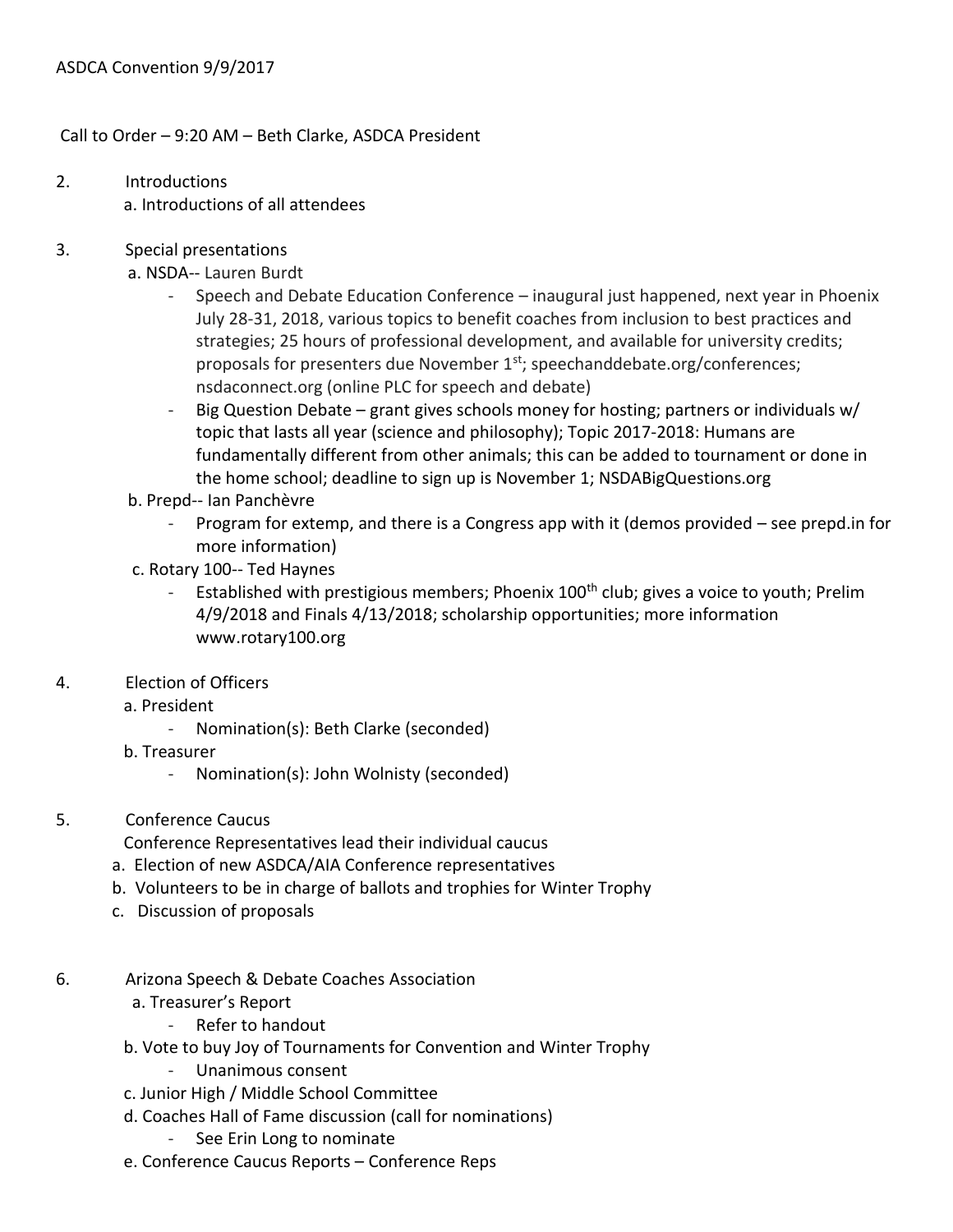Call to Order – 9:20 AM – Beth Clarke, ASDCA President

- 2. Introductions a. Introductions of all attendees
- 3. Special presentations
	- a. NSDA-- Lauren Burdt
		- Speech and Debate Education Conference inaugural just happened, next year in Phoenix July 28-31, 2018, various topics to benefit coaches from inclusion to best practices and strategies; 25 hours of professional development, and available for university credits; proposals for presenters due November  $1<sup>st</sup>$ ; speechanddebate.org/conferences; nsdaconnect.org (online PLC for speech and debate)
		- Big Question Debate grant gives schools money for hosting; partners or individuals w/ topic that lasts all year (science and philosophy); Topic 2017-2018: Humans are fundamentally different from other animals; this can be added to tournament or done in the home school; deadline to sign up is November 1; NSDABigQuestions.org
	- b. Prepd-- Ian Panchèvre
		- Program for extemp, and there is a Congress app with it (demos provided see prepd.in for more information)
	- c. Rotary 100-- Ted Haynes
		- Established with prestigious members; Phoenix 100<sup>th</sup> club; gives a voice to youth; Prelim 4/9/2018 and Finals 4/13/2018; scholarship opportunities; more information www.rotary100.org
- 4. Election of Officers
	- a. President
		- Nomination(s): Beth Clarke (seconded)
	- b. Treasurer
		- Nomination(s): John Wolnisty (seconded)
- 5. Conference Caucus

Conference Representatives lead their individual caucus

- a. Election of new ASDCA/AIA Conference representatives
- b. Volunteers to be in charge of ballots and trophies for Winter Trophy
- c. Discussion of proposals
- 6. Arizona Speech & Debate Coaches Association
	- a. Treasurer's Report
		- Refer to handout
	- b. Vote to buy Joy of Tournaments for Convention and Winter Trophy
		- Unanimous consent
	- c. Junior High / Middle School Committee
	- d. Coaches Hall of Fame discussion (call for nominations)
		- See Erin Long to nominate
	- e. Conference Caucus Reports Conference Reps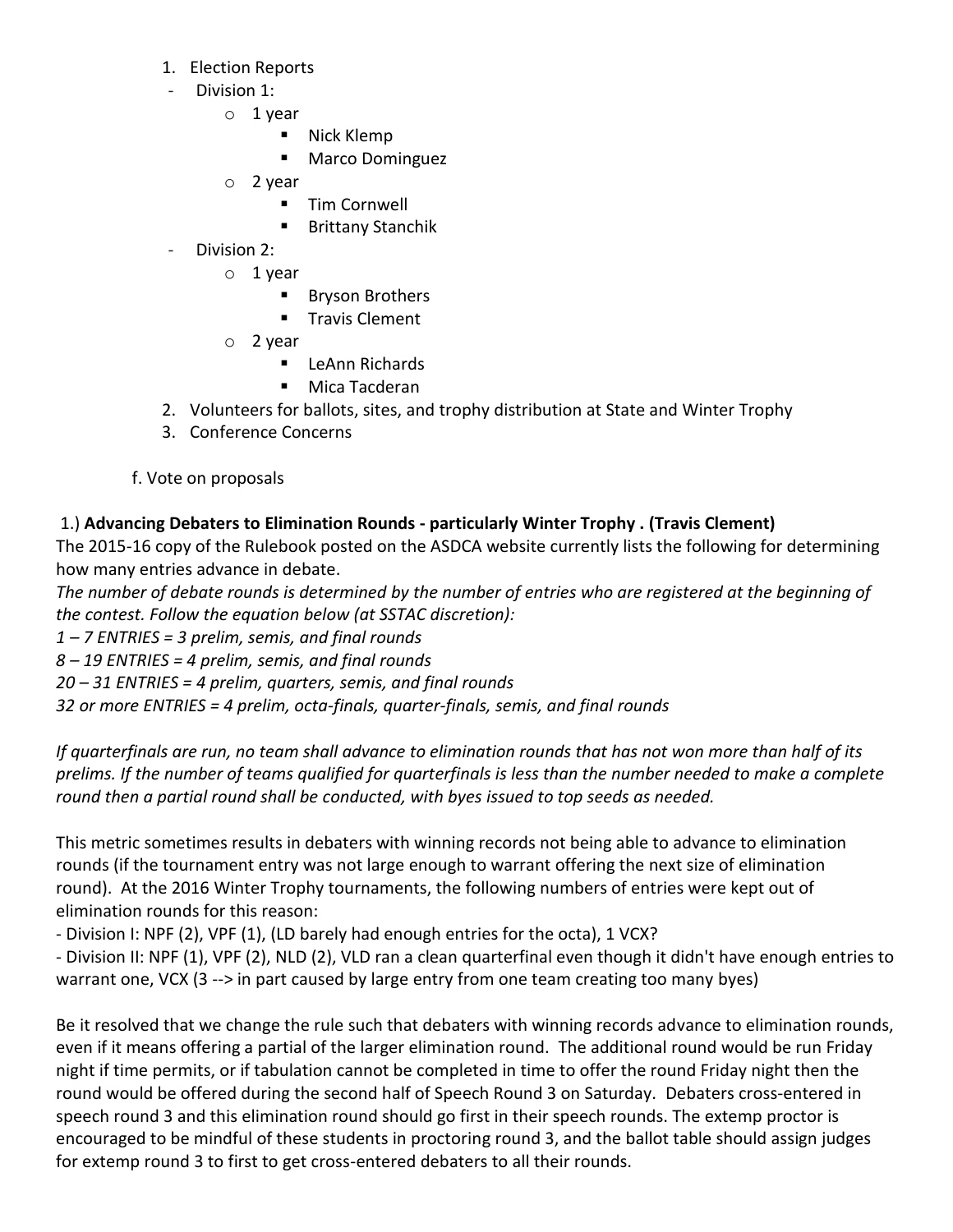- 1. Election Reports
- Division 1:
	- o 1 year
		- Nick Klemp
		- **Marco Dominguez**
	- o 2 year
		- **Tim Cornwell**
		- Brittany Stanchik
- Division 2:
	- o 1 year
		- **Bryson Brothers**
		- **Travis Clement**
	- o 2 year
		- **E** LeAnn Richards
		- Mica Tacderan
- 2. Volunteers for ballots, sites, and trophy distribution at State and Winter Trophy
- 3. Conference Concerns
- f. Vote on proposals

# 1.) **Advancing Debaters to Elimination Rounds - particularly Winter Trophy . (Travis Clement)**

The 2015-16 copy of the Rulebook posted on the ASDCA website currently lists the following for determining how many entries advance in debate.

*The number of debate rounds is determined by the number of entries who are registered at the beginning of the contest. Follow the equation below (at SSTAC discretion):*

*1 – 7 ENTRIES = 3 prelim, semis, and final rounds*

*8 – 19 ENTRIES = 4 prelim, semis, and final rounds*

*20 – 31 ENTRIES = 4 prelim, quarters, semis, and final rounds*

*32 or more ENTRIES = 4 prelim, octa-finals, quarter-finals, semis, and final rounds*

*If quarterfinals are run, no team shall advance to elimination rounds that has not won more than half of its prelims. If the number of teams qualified for quarterfinals is less than the number needed to make a complete round then a partial round shall be conducted, with byes issued to top seeds as needed.*

This metric sometimes results in debaters with winning records not being able to advance to elimination rounds (if the tournament entry was not large enough to warrant offering the next size of elimination round). At the 2016 Winter Trophy tournaments, the following numbers of entries were kept out of elimination rounds for this reason:

- Division I: NPF (2), VPF (1), (LD barely had enough entries for the octa), 1 VCX?

- Division II: NPF (1), VPF (2), NLD (2), VLD ran a clean quarterfinal even though it didn't have enough entries to warrant one, VCX (3 --> in part caused by large entry from one team creating too many byes)

Be it resolved that we change the rule such that debaters with winning records advance to elimination rounds, even if it means offering a partial of the larger elimination round. The additional round would be run Friday night if time permits, or if tabulation cannot be completed in time to offer the round Friday night then the round would be offered during the second half of Speech Round 3 on Saturday. Debaters cross-entered in speech round 3 and this elimination round should go first in their speech rounds. The extemp proctor is encouraged to be mindful of these students in proctoring round 3, and the ballot table should assign judges for extemp round 3 to first to get cross-entered debaters to all their rounds.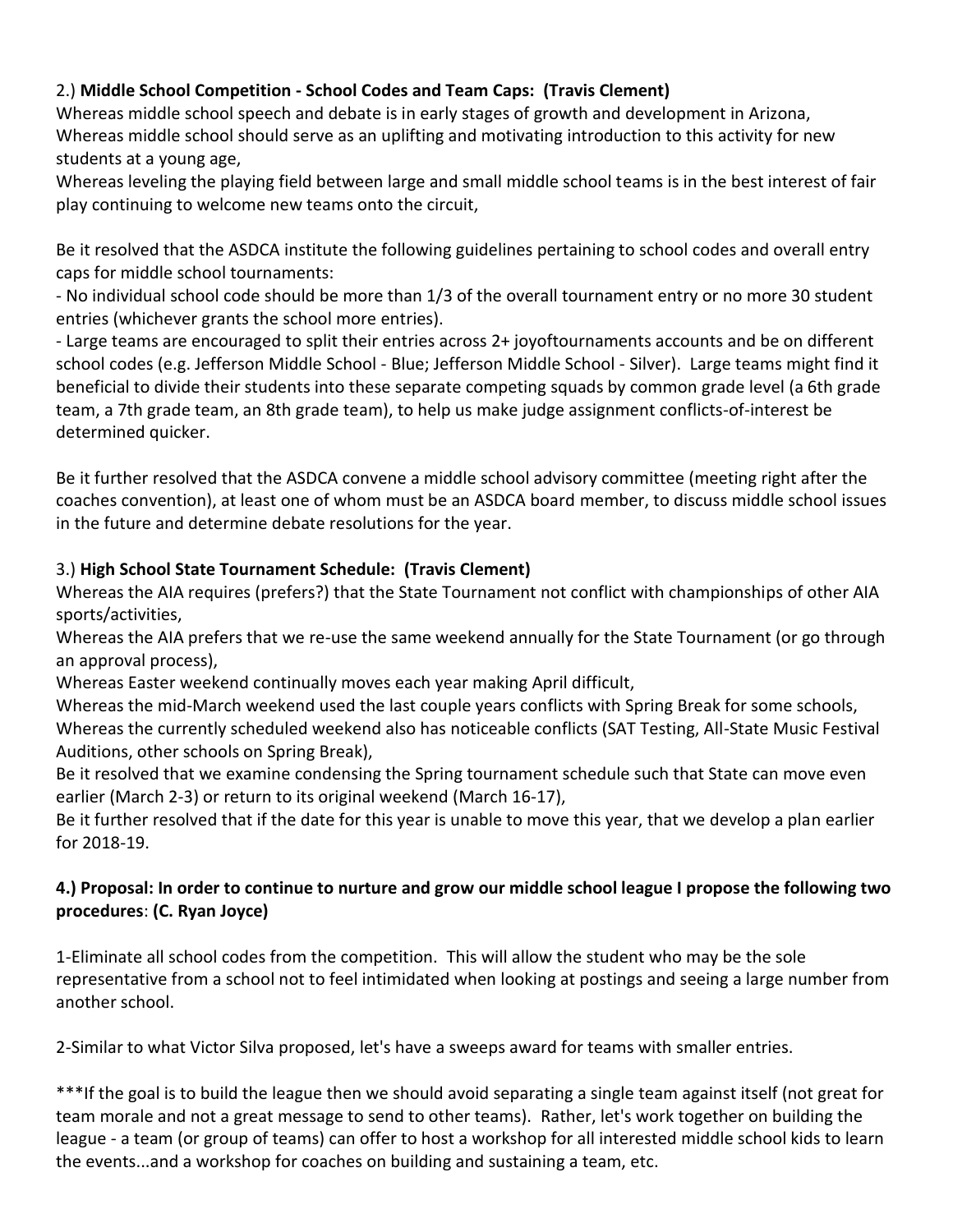## 2.) **Middle School Competition - School Codes and Team Caps: (Travis Clement)**

Whereas middle school speech and debate is in early stages of growth and development in Arizona, Whereas middle school should serve as an uplifting and motivating introduction to this activity for new students at a young age,

Whereas leveling the playing field between large and small middle school teams is in the best interest of fair play continuing to welcome new teams onto the circuit,

Be it resolved that the ASDCA institute the following guidelines pertaining to school codes and overall entry caps for middle school tournaments:

- No individual school code should be more than 1/3 of the overall tournament entry or no more 30 student entries (whichever grants the school more entries).

- Large teams are encouraged to split their entries across 2+ joyoftournaments accounts and be on different school codes (e.g. Jefferson Middle School - Blue; Jefferson Middle School - Silver). Large teams might find it beneficial to divide their students into these separate competing squads by common grade level (a 6th grade team, a 7th grade team, an 8th grade team), to help us make judge assignment conflicts-of-interest be determined quicker.

Be it further resolved that the ASDCA convene a middle school advisory committee (meeting right after the coaches convention), at least one of whom must be an ASDCA board member, to discuss middle school issues in the future and determine debate resolutions for the year.

## 3.) **High School State Tournament Schedule: (Travis Clement)**

Whereas the AIA requires (prefers?) that the State Tournament not conflict with championships of other AIA sports/activities,

Whereas the AIA prefers that we re-use the same weekend annually for the State Tournament (or go through an approval process),

Whereas Easter weekend continually moves each year making April difficult,

Whereas the mid-March weekend used the last couple years conflicts with Spring Break for some schools, Whereas the currently scheduled weekend also has noticeable conflicts (SAT Testing, All-State Music Festival Auditions, other schools on Spring Break),

Be it resolved that we examine condensing the Spring tournament schedule such that State can move even earlier (March 2-3) or return to its original weekend (March 16-17),

Be it further resolved that if the date for this year is unable to move this year, that we develop a plan earlier for 2018-19.

## **4.) Proposal: In order to continue to nurture and grow our middle school league I propose the following two procedures**: **(C. Ryan Joyce)**

1-Eliminate all school codes from the competition. This will allow the student who may be the sole representative from a school not to feel intimidated when looking at postings and seeing a large number from another school.

2-Similar to what Victor Silva proposed, let's have a sweeps award for teams with smaller entries.

\*\*\*If the goal is to build the league then we should avoid separating a single team against itself (not great for team morale and not a great message to send to other teams). Rather, let's work together on building the league - a team (or group of teams) can offer to host a workshop for all interested middle school kids to learn the events...and a workshop for coaches on building and sustaining a team, etc.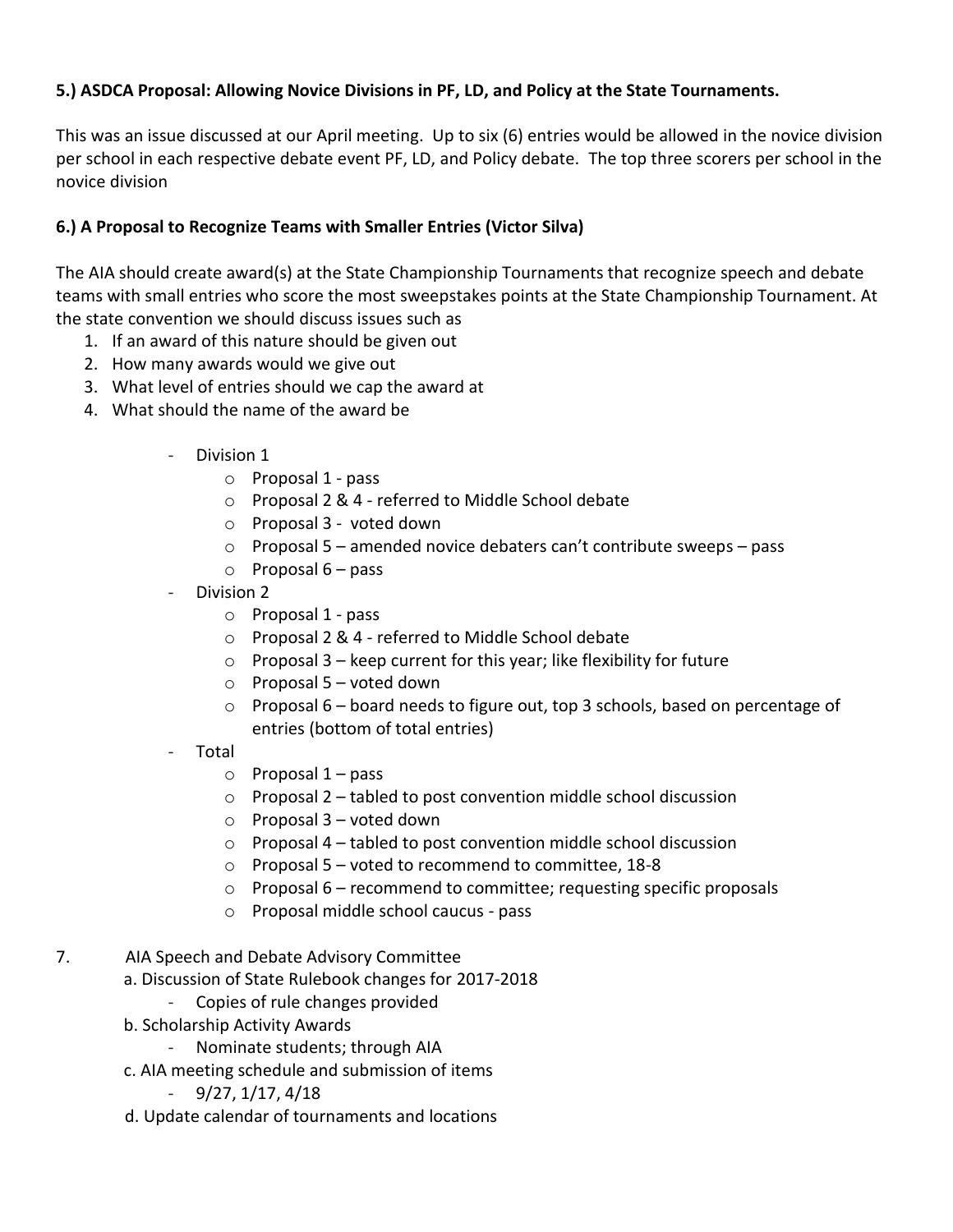#### **5.) ASDCA Proposal: Allowing Novice Divisions in PF, LD, and Policy at the State Tournaments.**

This was an issue discussed at our April meeting. Up to six (6) entries would be allowed in the novice division per school in each respective debate event PF, LD, and Policy debate. The top three scorers per school in the novice division

#### **6.) A Proposal to Recognize Teams with Smaller Entries (Victor Silva)**

The AIA should create award(s) at the State Championship Tournaments that recognize speech and debate teams with small entries who score the most sweepstakes points at the State Championship Tournament. At the state convention we should discuss issues such as

- 1. If an award of this nature should be given out
- 2. How many awards would we give out
- 3. What level of entries should we cap the award at
- 4. What should the name of the award be
	- Division 1
		- o Proposal 1 pass
		- o Proposal 2 & 4 referred to Middle School debate
		- o Proposal 3 voted down
		- o Proposal 5 amended novice debaters can't contribute sweeps pass
		- $\circ$  Proposal 6 pass
	- Division 2
		- o Proposal 1 pass
		- o Proposal 2 & 4 referred to Middle School debate
		- $\circ$  Proposal 3 keep current for this year; like flexibility for future
		- $\circ$  Proposal 5 voted down
		- $\circ$  Proposal 6 board needs to figure out, top 3 schools, based on percentage of entries (bottom of total entries)
	- Total
		- $\circ$  Proposal 1 pass
		- o Proposal 2 tabled to post convention middle school discussion
		- $\circ$  Proposal 3 voted down
		- o Proposal 4 tabled to post convention middle school discussion
		- o Proposal 5 voted to recommend to committee, 18-8
		- o Proposal 6 recommend to committee; requesting specific proposals
		- o Proposal middle school caucus pass
- 7. AIA Speech and Debate Advisory Committee
	- a. Discussion of State Rulebook changes for 2017-2018
		- Copies of rule changes provided
	- b. Scholarship Activity Awards
		- Nominate students; through AIA
	- c. AIA meeting schedule and submission of items
		- 9/27, 1/17, 4/18
	- d. Update calendar of tournaments and locations